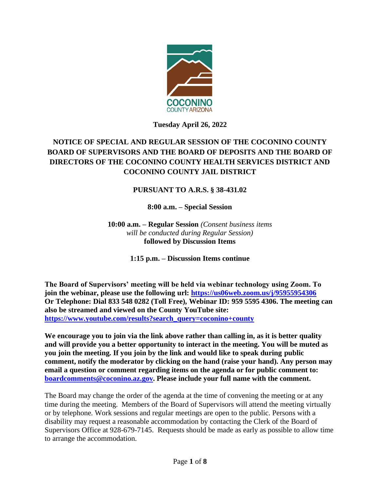

**Tuesday April 26, 2022**

# **NOTICE OF SPECIAL AND REGULAR SESSION OF THE COCONINO COUNTY BOARD OF SUPERVISORS AND THE BOARD OF DEPOSITS AND THE BOARD OF DIRECTORS OF THE COCONINO COUNTY HEALTH SERVICES DISTRICT AND COCONINO COUNTY JAIL DISTRICT**

## **PURSUANT TO A.R.S. § 38-431.02**

**8:00 a.m. – Special Session**

**10:00 a.m. – Regular Session** *(Consent business items will be conducted during Regular Session)* **followed by Discussion Items**

**1:15 p.m. – Discussion Items continue**

**The Board of Supervisors' meeting will be held via webinar technology using Zoom. To join the webinar, please use the following url: <https://us06web.zoom.us/j/95955954306> Or Telephone: Dial 833 548 0282 (Toll Free), Webinar ID: 959 5595 4306. The meeting can also be streamed and viewed on the County YouTube site: [https://www.youtube.com/results?search\\_query=coconino+county](https://www.youtube.com/results?search_query=coconino+county)**

**We encourage you to join via the link above rather than calling in, as it is better quality and will provide you a better opportunity to interact in the meeting. You will be muted as you join the meeting. If you join by the link and would like to speak during public comment, notify the moderator by clicking on the hand (raise your hand). Any person may email a question or comment regarding items on the agenda or for public comment to: [boardcomments@coconino.az.gov.](mailto:boardcomments@coconino.az.gov) Please include your full name with the comment.** 

The Board may change the order of the agenda at the time of convening the meeting or at any time during the meeting. Members of the Board of Supervisors will attend the meeting virtually or by telephone. Work sessions and regular meetings are open to the public. Persons with a disability may request a reasonable accommodation by contacting the Clerk of the Board of Supervisors Office at 928-679-7145. Requests should be made as early as possible to allow time to arrange the accommodation.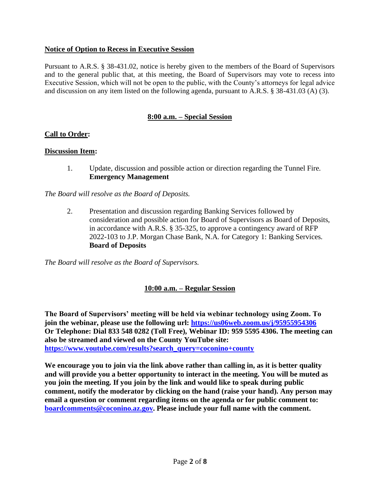### **Notice of Option to Recess in Executive Session**

Pursuant to A.R.S. § 38-431.02, notice is hereby given to the members of the Board of Supervisors and to the general public that, at this meeting, the Board of Supervisors may vote to recess into Executive Session, which will not be open to the public, with the County's attorneys for legal advice and discussion on any item listed on the following agenda, pursuant to A.R.S. § 38-431.03 (A) (3).

### **8:00 a.m. – Special Session**

### **Call to Order:**

#### **Discussion Item:**

1. Update, discussion and possible action or direction regarding the Tunnel Fire. **Emergency Management**

*The Board will resolve as the Board of Deposits.*

2. Presentation and discussion regarding Banking Services followed by consideration and possible action for Board of Supervisors as Board of Deposits, in accordance with A.R.S. § 35-325, to approve a contingency award of RFP 2022-103 to J.P. Morgan Chase Bank, N.A. for Category 1: Banking Services. **Board of Deposits**

*The Board will resolve as the Board of Supervisors.*

## **10:00 a.m. – Regular Session**

**The Board of Supervisors' meeting will be held via webinar technology using Zoom. To join the webinar, please use the following url: <https://us06web.zoom.us/j/95955954306> Or Telephone: Dial 833 548 0282 (Toll Free), Webinar ID: 959 5595 4306. The meeting can also be streamed and viewed on the County YouTube site: [https://www.youtube.com/results?search\\_query=coconino+county](https://www.youtube.com/results?search_query=coconino+county)**

**We encourage you to join via the link above rather than calling in, as it is better quality and will provide you a better opportunity to interact in the meeting. You will be muted as you join the meeting. If you join by the link and would like to speak during public comment, notify the moderator by clicking on the hand (raise your hand). Any person may email a question or comment regarding items on the agenda or for public comment to: [boardcomments@coconino.az.gov.](mailto:boardcomments@coconino.az.gov) Please include your full name with the comment.**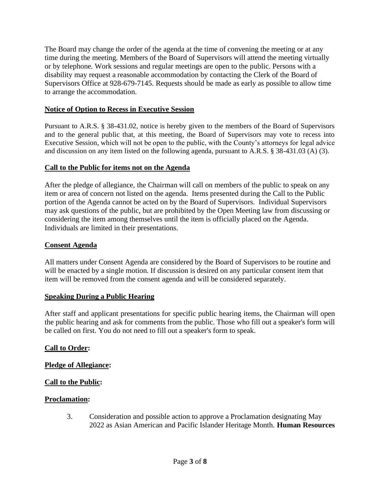The Board may change the order of the agenda at the time of convening the meeting or at any time during the meeting. Members of the Board of Supervisors will attend the meeting virtually or by telephone. Work sessions and regular meetings are open to the public. Persons with a disability may request a reasonable accommodation by contacting the Clerk of the Board of Supervisors Office at 928-679-7145. Requests should be made as early as possible to allow time to arrange the accommodation.

### **Notice of Option to Recess in Executive Session**

Pursuant to A.R.S. § 38-431.02, notice is hereby given to the members of the Board of Supervisors and to the general public that, at this meeting, the Board of Supervisors may vote to recess into Executive Session, which will not be open to the public, with the County's attorneys for legal advice and discussion on any item listed on the following agenda, pursuant to A.R.S. § 38-431.03 (A) (3).

#### **Call to the Public for items not on the Agenda**

After the pledge of allegiance, the Chairman will call on members of the public to speak on any item or area of concern not listed on the agenda. Items presented during the Call to the Public portion of the Agenda cannot be acted on by the Board of Supervisors. Individual Supervisors may ask questions of the public, but are prohibited by the Open Meeting law from discussing or considering the item among themselves until the item is officially placed on the Agenda. Individuals are limited in their presentations.

#### **Consent Agenda**

All matters under Consent Agenda are considered by the Board of Supervisors to be routine and will be enacted by a single motion. If discussion is desired on any particular consent item that item will be removed from the consent agenda and will be considered separately.

#### **Speaking During a Public Hearing**

After staff and applicant presentations for specific public hearing items, the Chairman will open the public hearing and ask for comments from the public. Those who fill out a speaker's form will be called on first. You do not need to fill out a speaker's form to speak.

#### **Call to Order:**

#### **Pledge of Allegiance:**

### **Call to the Public:**

#### **Proclamation:**

3. Consideration and possible action to approve a Proclamation designating May 2022 as Asian American and Pacific Islander Heritage Month. **Human Resources**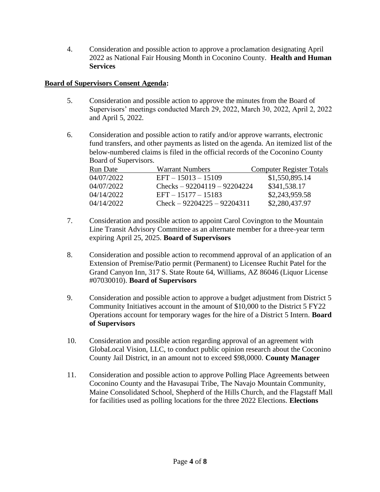4. Consideration and possible action to approve a proclamation designating April 2022 as National Fair Housing Month in Coconino County. **Health and Human Services**

### **Board of Supervisors Consent Agenda:**

- 5. Consideration and possible action to approve the minutes from the Board of Supervisors' meetings conducted March 29, 2022, March 30, 2022, April 2, 2022 and April 5, 2022.
- 6. Consideration and possible action to ratify and/or approve warrants, electronic fund transfers, and other payments as listed on the agenda. An itemized list of the below-numbered claims is filed in the official records of the Coconino County Board of Supervisors.

| Run Date   | <b>Warrant Numbers</b>        | <b>Computer Register Totals</b> |
|------------|-------------------------------|---------------------------------|
| 04/07/2022 | $EFT - 15013 - 15109$         | \$1,550,895.14                  |
| 04/07/2022 | Checks $-92204119 - 92204224$ | \$341,538.17                    |
| 04/14/2022 | $EFT - 15177 - 15183$         | \$2,243,959.58                  |
| 04/14/2022 | $Check - 92204225 - 92204311$ | \$2,280,437.97                  |

- 7. Consideration and possible action to appoint Carol Covington to the Mountain Line Transit Advisory Committee as an alternate member for a three-year term expiring April 25, 2025. **Board of Supervisors**
- 8. Consideration and possible action to recommend approval of an application of an Extension of Premise/Patio permit (Permanent) to Licensee Ruchit Patel for the Grand Canyon Inn, 317 S. State Route 64, Williams, AZ 86046 (Liquor License #07030010). **Board of Supervisors**
- 9. Consideration and possible action to approve a budget adjustment from District 5 Community Initiatives account in the amount of \$10,000 to the District 5 FY22 Operations account for temporary wages for the hire of a District 5 Intern. **Board of Supervisors**
- 10. Consideration and possible action regarding approval of an agreement with GlobaLocal Vision, LLC, to conduct public opinion research about the Coconino County Jail District, in an amount not to exceed \$98,0000. **County Manager**
- 11. Consideration and possible action to approve Polling Place Agreements between Coconino County and the Havasupai Tribe, The Navajo Mountain Community, Maine Consolidated School, Shepherd of the Hills Church, and the Flagstaff Mall for facilities used as polling locations for the three 2022 Elections. **Elections**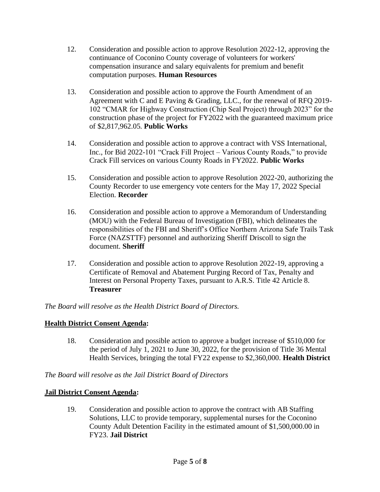- 12. Consideration and possible action to approve Resolution 2022-12, approving the continuance of Coconino County coverage of volunteers for workers' compensation insurance and salary equivalents for premium and benefit computation purposes. **Human Resources**
- 13. Consideration and possible action to approve the Fourth Amendment of an Agreement with C and E Paving & Grading, LLC., for the renewal of RFQ 2019- 102 "CMAR for Highway Construction (Chip Seal Project) through 2023" for the construction phase of the project for FY2022 with the guaranteed maximum price of \$2,817,962.05. **Public Works**
- 14. Consideration and possible action to approve a contract with VSS International, Inc., for Bid 2022-101 "Crack Fill Project – Various County Roads," to provide Crack Fill services on various County Roads in FY2022. **Public Works**
- 15. Consideration and possible action to approve Resolution 2022-20, authorizing the County Recorder to use emergency vote centers for the May 17, 2022 Special Election. **Recorder**
- 16. Consideration and possible action to approve a Memorandum of Understanding (MOU) with the Federal Bureau of Investigation (FBI), which delineates the responsibilities of the FBI and Sheriff's Office Northern Arizona Safe Trails Task Force (NAZSTTF) personnel and authorizing Sheriff Driscoll to sign the document. **Sheriff**
- 17. Consideration and possible action to approve Resolution 2022-19, approving a Certificate of Removal and Abatement Purging Record of Tax, Penalty and Interest on Personal Property Taxes, pursuant to A.R.S. Title 42 Article 8. **Treasurer**

*The Board will resolve as the Health District Board of Directors.*

## **Health District Consent Agenda:**

18. Consideration and possible action to approve a budget increase of \$510,000 for the period of July 1, 2021 to June 30, 2022, for the provision of Title 36 Mental Health Services, bringing the total FY22 expense to \$2,360,000. **Health District**

*The Board will resolve as the Jail District Board of Directors*

## **Jail District Consent Agenda:**

19. Consideration and possible action to approve the contract with AB Staffing Solutions, LLC to provide temporary, supplemental nurses for the Coconino County Adult Detention Facility in the estimated amount of \$1,500,000.00 in FY23. **Jail District**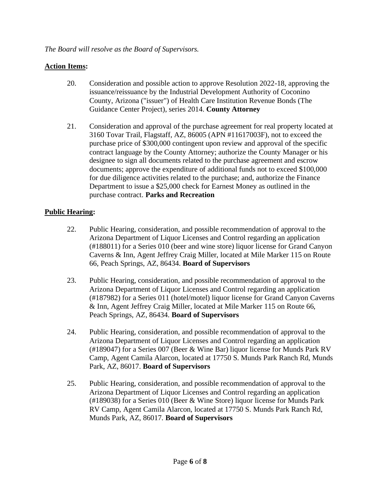### **Action Items:**

- 20. Consideration and possible action to approve Resolution 2022-18, approving the issuance/reissuance by the Industrial Development Authority of Coconino County, Arizona ("issuer") of Health Care Institution Revenue Bonds (The Guidance Center Project), series 2014. **County Attorney**
- 21. Consideration and approval of the purchase agreement for real property located at 3160 Tovar Trail, Flagstaff, AZ, 86005 (APN #11617003F), not to exceed the purchase price of \$300,000 contingent upon review and approval of the specific contract language by the County Attorney; authorize the County Manager or his designee to sign all documents related to the purchase agreement and escrow documents; approve the expenditure of additional funds not to exceed \$100,000 for due diligence activities related to the purchase; and, authorize the Finance Department to issue a \$25,000 check for Earnest Money as outlined in the purchase contract. **Parks and Recreation**

### **Public Hearing:**

- 22. Public Hearing, consideration, and possible recommendation of approval to the Arizona Department of Liquor Licenses and Control regarding an application (#188011) for a Series 010 (beer and wine store) liquor license for Grand Canyon Caverns & Inn, Agent Jeffrey Craig Miller, located at Mile Marker 115 on Route 66, Peach Springs, AZ, 86434. **Board of Supervisors**
- 23. Public Hearing, consideration, and possible recommendation of approval to the Arizona Department of Liquor Licenses and Control regarding an application (#187982) for a Series 011 (hotel/motel) liquor license for Grand Canyon Caverns & Inn, Agent Jeffrey Craig Miller, located at Mile Marker 115 on Route 66, Peach Springs, AZ, 86434. **Board of Supervisors**
- 24. Public Hearing, consideration, and possible recommendation of approval to the Arizona Department of Liquor Licenses and Control regarding an application (#189047) for a Series 007 (Beer & Wine Bar) liquor license for Munds Park RV Camp, Agent Camila Alarcon, located at 17750 S. Munds Park Ranch Rd, Munds Park, AZ, 86017. **Board of Supervisors**
- 25. Public Hearing, consideration, and possible recommendation of approval to the Arizona Department of Liquor Licenses and Control regarding an application (#189038) for a Series 010 (Beer & Wine Store) liquor license for Munds Park RV Camp, Agent Camila Alarcon, located at 17750 S. Munds Park Ranch Rd, Munds Park, AZ, 86017. **Board of Supervisors**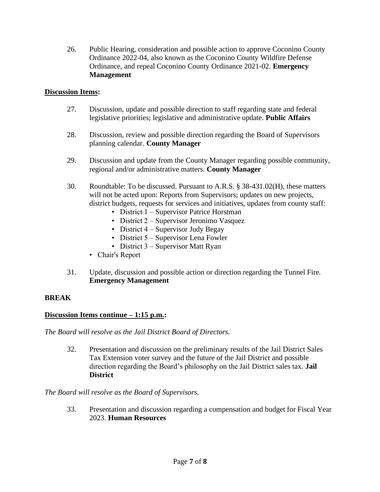26. Public Hearing, consideration and possible action to approve Coconino County Ordinance 2022-04, also known as the Coconino County Wildfire Defense Ordinance, and repeal Coconino County Ordinance 2021-02. **Emergency Management**

### **Discussion Items:**

- 27. Discussion, update and possible direction to staff regarding state and federal legislative priorities; legislative and administrative update. **Public Affairs**
- 28. Discussion, review and possible direction regarding the Board of Supervisors planning calendar. **County Manager**
- 29. Discussion and update from the County Manager regarding possible community, regional and/or administrative matters. **County Manager**
- 30. Roundtable: To be discussed. Pursuant to A.R.S. § 38-431.02(H), these matters will not be acted upon: Reports from Supervisors; updates on new projects, district budgets, requests for services and initiatives, updates from county staff:
	- District 1 Supervisor Patrice Horstman
	- District 2 Supervisor Jeronimo Vasquez
	- District 4 Supervisor Judy Begay
	- District 5 Supervisor Lena Fowler
	- District 3 Supervisor Matt Ryan
	- Chair's Report
- 31. Update, discussion and possible action or direction regarding the Tunnel Fire. **Emergency Management**

### **BREAK**

### **Discussion Items continue – 1:15 p.m.:**

*The Board will resolve as the Jail District Board of Directors.*

32. Presentation and discussion on the preliminary results of the Jail District Sales Tax Extension voter survey and the future of the Jail District and possible direction regarding the Board's philosophy on the Jail District sales tax. **Jail District**

### *The Board will resolve as the Board of Supervisors.*

33. Presentation and discussion regarding a compensation and budget for Fiscal Year 2023. **Human Resources**